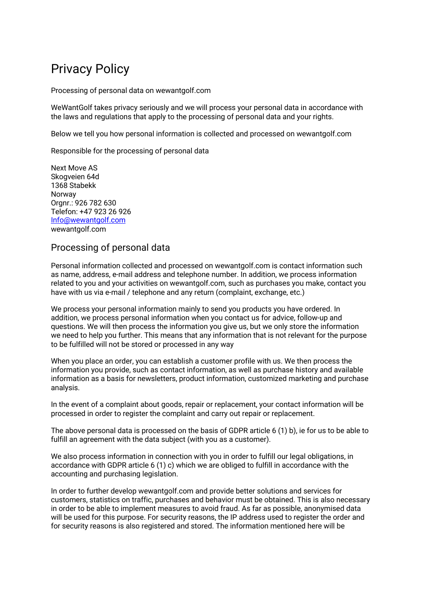# Privacy Policy

Processing of personal data on wewantgolf.com

WeWantGolf takes privacy seriously and we will process your personal data in accordance with the laws and regulations that apply to the processing of personal data and your rights.

Below we tell you how personal information is collected and processed on wewantgolf.com

Responsible for the processing of personal data

Next Move AS Skogveien 64d 1368 Stabekk Norway Orgnr.: 926 782 630 Telefon: +47 923 26 926 Info@wewantgolf.com wewantgolf.com

# Processing of personal data

Personal information collected and processed on wewantgolf.com is contact information such as name, address, e-mail address and telephone number. In addition, we process information related to you and your activities on wewantgolf.com, such as purchases you make, contact you have with us via e-mail / telephone and any return (complaint, exchange, etc.)

We process your personal information mainly to send you products you have ordered. In addition, we process personal information when you contact us for advice, follow-up and questions. We will then process the information you give us, but we only store the information we need to help you further. This means that any information that is not relevant for the purpose to be fulfilled will not be stored or processed in any way

When you place an order, you can establish a customer profile with us. We then process the information you provide, such as contact information, as well as purchase history and available information as a basis for newsletters, product information, customized marketing and purchase analysis.

In the event of a complaint about goods, repair or replacement, your contact information will be processed in order to register the complaint and carry out repair or replacement.

The above personal data is processed on the basis of GDPR article 6 (1) b), ie for us to be able to fulfill an agreement with the data subject (with you as a customer).

We also process information in connection with you in order to fulfill our legal obligations, in accordance with GDPR article 6 (1) c) which we are obliged to fulfill in accordance with the accounting and purchasing legislation.

In order to further develop wewantgolf.com and provide better solutions and services for customers, statistics on traffic, purchases and behavior must be obtained. This is also necessary in order to be able to implement measures to avoid fraud. As far as possible, anonymised data will be used for this purpose. For security reasons, the IP address used to register the order and for security reasons is also registered and stored. The information mentioned here will be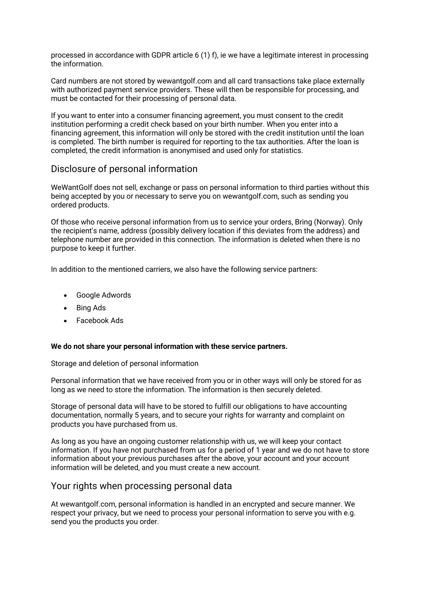processed in accordance with GDPR article 6 (1) f), ie we have a legitimate interest in processing the information.

Card numbers are not stored by wewantgolf.com and all card transactions take place externally with authorized payment service providers. These will then be responsible for processing, and must be contacted for their processing of personal data.

If you want to enter into a consumer financing agreement, you must consent to the credit institution performing a credit check based on your birth number. When you enter into a financing agreement, this information will only be stored with the credit institution until the loan is completed. The birth number is required for reporting to the tax authorities. After the loan is completed, the credit information is anonymised and used only for statistics.

# Disclosure of personal information

WeWantGolf does not sell, exchange or pass on personal information to third parties without this being accepted by you or necessary to serve you on wewantgolf.com, such as sending you ordered products.

Of those who receive personal information from us to service your orders, Bring (Norway). Only the recipient's name, address (possibly delivery location if this deviates from the address) and telephone number are provided in this connection. The information is deleted when there is no purpose to keep it further.

In addition to the mentioned carriers, we also have the following service partners:

- Google Adwords
- Bing Ads
- Facebook Ads

#### **We do not share your personal information with these service partners.**

Storage and deletion of personal information

Personal information that we have received from you or in other ways will only be stored for as long as we need to store the information. The information is then securely deleted.

Storage of personal data will have to be stored to fulfill our obligations to have accounting documentation, normally 5 years, and to secure your rights for warranty and complaint on products you have purchased from us.

As long as you have an ongoing customer relationship with us, we will keep your contact information. If you have not purchased from us for a period of 1 year and we do not have to store information about your previous purchases after the above, your account and your account information will be deleted, and you must create a new account.

## Your rights when processing personal data

At wewantgolf.com, personal information is handled in an encrypted and secure manner. We respect your privacy, but we need to process your personal information to serve you with e.g. send you the products you order.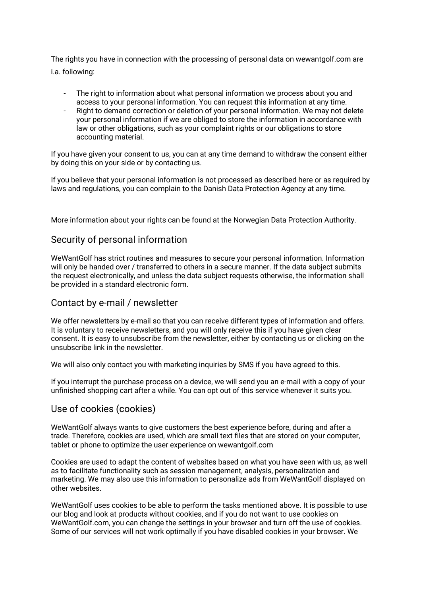The rights you have in connection with the processing of personal data on wewantgolf.com are i.a. following:

- The right to information about what personal information we process about you and access to your personal information. You can request this information at any time.
- Right to demand correction or deletion of your personal information. We may not delete your personal information if we are obliged to store the information in accordance with law or other obligations, such as your complaint rights or our obligations to store accounting material.

If you have given your consent to us, you can at any time demand to withdraw the consent either by doing this on your side or by contacting us.

If you believe that your personal information is not processed as described here or as required by laws and regulations, you can complain to the Danish Data Protection Agency at any time.

More information about your rights can be found at the Norwegian Data Protection Authority.

# Security of personal information

WeWantGolf has strict routines and measures to secure your personal information. Information will only be handed over / transferred to others in a secure manner. If the data subject submits the request electronically, and unless the data subject requests otherwise, the information shall be provided in a standard electronic form.

## Contact by e-mail / newsletter

We offer newsletters by e-mail so that you can receive different types of information and offers. It is voluntary to receive newsletters, and you will only receive this if you have given clear consent. It is easy to unsubscribe from the newsletter, either by contacting us or clicking on the unsubscribe link in the newsletter.

We will also only contact you with marketing inquiries by SMS if you have agreed to this.

If you interrupt the purchase process on a device, we will send you an e-mail with a copy of your unfinished shopping cart after a while. You can opt out of this service whenever it suits you.

## Use of cookies (cookies)

WeWantGolf always wants to give customers the best experience before, during and after a trade. Therefore, cookies are used, which are small text files that are stored on your computer, tablet or phone to optimize the user experience on wewantgolf.com

Cookies are used to adapt the content of websites based on what you have seen with us, as well as to facilitate functionality such as session management, analysis, personalization and marketing. We may also use this information to personalize ads from WeWantGolf displayed on other websites.

WeWantGolf uses cookies to be able to perform the tasks mentioned above. It is possible to use our blog and look at products without cookies, and if you do not want to use cookies on WeWantGolf.com, you can change the settings in your browser and turn off the use of cookies. Some of our services will not work optimally if you have disabled cookies in your browser. We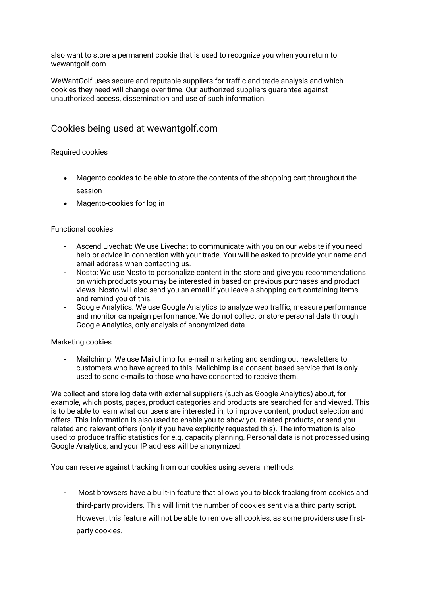also want to store a permanent cookie that is used to recognize you when you return to wewantgolf.com

WeWantGolf uses secure and reputable suppliers for traffic and trade analysis and which cookies they need will change over time. Our authorized suppliers guarantee against unauthorized access, dissemination and use of such information.

# Cookies being used at wewantgolf.com

### Required cookies

- Magento cookies to be able to store the contents of the shopping cart throughout the session
- Magento-cookies for log in

### Functional cookies

- Ascend Livechat: We use Livechat to communicate with you on our website if you need help or advice in connection with your trade. You will be asked to provide your name and email address when contacting us.
- Nosto: We use Nosto to personalize content in the store and give you recommendations on which products you may be interested in based on previous purchases and product views. Nosto will also send you an email if you leave a shopping cart containing items and remind you of this.
- Google Analytics: We use Google Analytics to analyze web traffic, measure performance and monitor campaign performance. We do not collect or store personal data through Google Analytics, only analysis of anonymized data.

#### Marketing cookies

- Mailchimp: We use Mailchimp for e-mail marketing and sending out newsletters to customers who have agreed to this. Mailchimp is a consent-based service that is only used to send e-mails to those who have consented to receive them.

We collect and store log data with external suppliers (such as Google Analytics) about, for example, which posts, pages, product categories and products are searched for and viewed. This is to be able to learn what our users are interested in, to improve content, product selection and offers. This information is also used to enable you to show you related products, or send you related and relevant offers (only if you have explicitly requested this). The information is also used to produce traffic statistics for e.g. capacity planning. Personal data is not processed using Google Analytics, and your IP address will be anonymized.

You can reserve against tracking from our cookies using several methods:

- Most browsers have a built-in feature that allows you to block tracking from cookies and third-party providers. This will limit the number of cookies sent via a third party script. However, this feature will not be able to remove all cookies, as some providers use firstparty cookies.